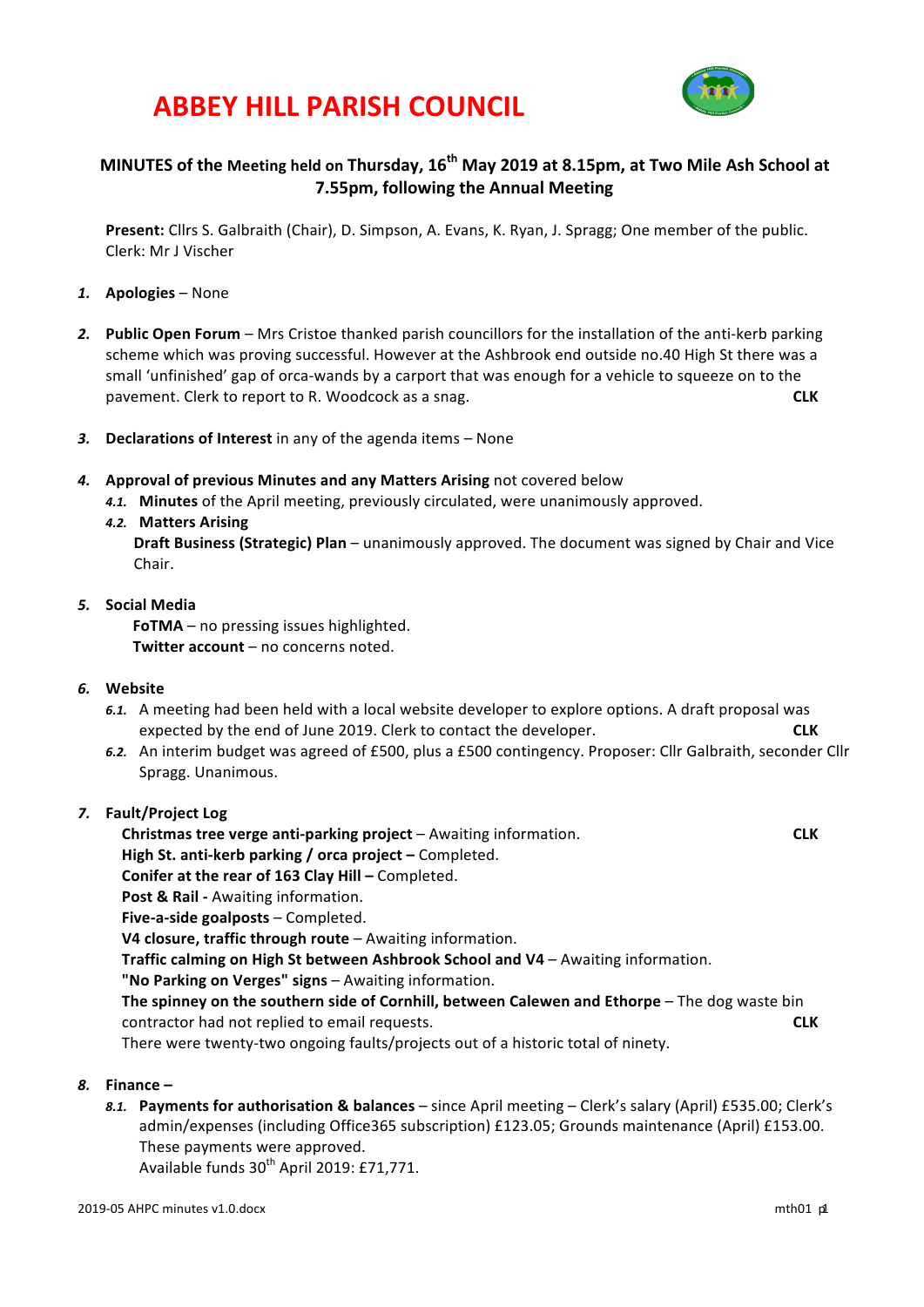## **ABBEY HILL PARISH COUNCIL**



## **MINUTES** of the Meeting held on Thursday,  $16^{th}$  May 2019 at 8.15pm, at Two Mile Ash School at **7.55pm, following the Annual Meeting**

**Present:** Cllrs S. Galbraith (Chair), D. Simpson, A. Evans, K. Ryan, J. Spragg; One member of the public. Clerk: Mr J Vischer

- *1.* **Apologies** None
- **2. Public Open Forum** Mrs Cristoe thanked parish councillors for the installation of the anti-kerb parking scheme which was proving successful. However at the Ashbrook end outside no.40 High St there was a small 'unfinished' gap of orca-wands by a carport that was enough for a vehicle to squeeze on to the pavement. Clerk to report to R. Woodcock as a snag. **CLK**
- 3. **Declarations of Interest** in any of the agenda items None
- **4.** Approval of previous Minutes and any Matters Arising not covered below
	- 4.1. Minutes of the April meeting, previously circulated, were unanimously approved.
	- **4.2. Matters Arising**

**Draft Business (Strategic) Plan** – unanimously approved. The document was signed by Chair and Vice Chair.

#### *5.* **Social Media**

**FoTMA** – no pressing issues highlighted. **Twitter account** – no concerns noted.

- 6. Website
	- 6.1. A meeting had been held with a local website developer to explore options. A draft proposal was expected by the end of June 2019. Clerk to contact the developer. **CLK**
	- 6.2. An interim budget was agreed of £500, plus a £500 contingency. Proposer: Cllr Galbraith, seconder Cllr Spragg. Unanimous.
- *7.* **Fault/Project Log**

**Christmas tree verge anti-parking project** – Awaiting information. **The anti-parking of the CLK High St. anti-kerb parking / orca project – Completed. Conifer at the rear of 163 Clay Hill – Completed. Post & Rail - Awaiting information. Five-a-side goalposts – Completed. V4 closure, traffic through route** – Awaiting information. **Traffic calming on High St between Ashbrook School and V4 – Awaiting information. "No Parking on Verges" signs** – Awaiting information. **The spinney on the southern side of Cornhill, between Calewen and Ethorpe** – The dog waste bin contractor had not replied to email requests. **CLK** There were twenty-two ongoing faults/projects out of a historic total of ninety.

- *8.* **Finance –**
	- 8.1. **Payments for authorisation & balances** since April meeting Clerk's salary (April) £535.00; Clerk's admin/expenses (including Office365 subscription) £123.05; Grounds maintenance (April) £153.00. These payments were approved.

Available funds  $30^{th}$  April 2019: £71,771.